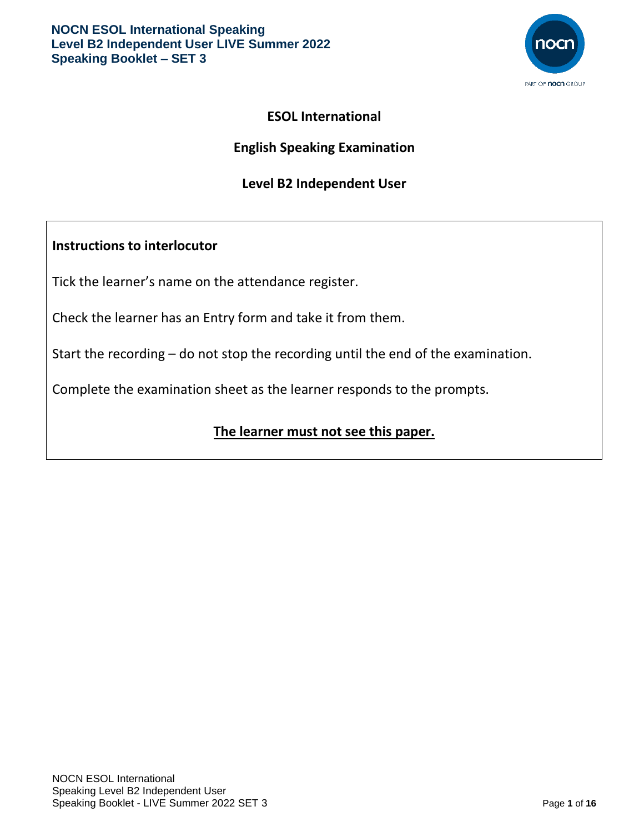

# **ESOL International**

# **English Speaking Examination**

# **Level B2 Independent User**

# **Instructions to interlocutor**

Tick the learner's name on the attendance register.

Check the learner has an Entry form and take it from them.

Start the recording – do not stop the recording until the end of the examination.

Complete the examination sheet as the learner responds to the prompts.

**The learner must not see this paper.**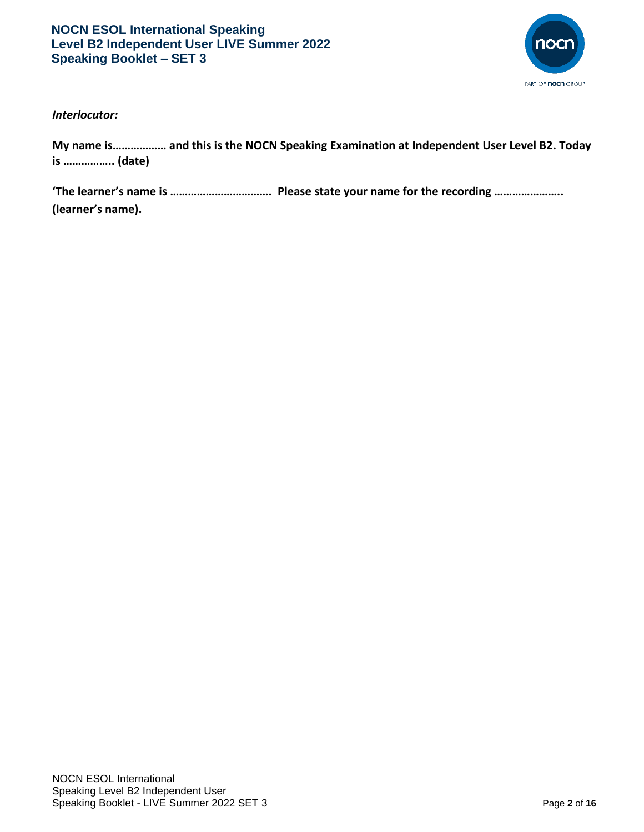

*Interlocutor:* 

**My name is……………… and this is the NOCN Speaking Examination at Independent User Level B2. Today is …………….. (date)** 

**'The learner's name is ……………………………. Please state your name for the recording ………………….. (learner's name).**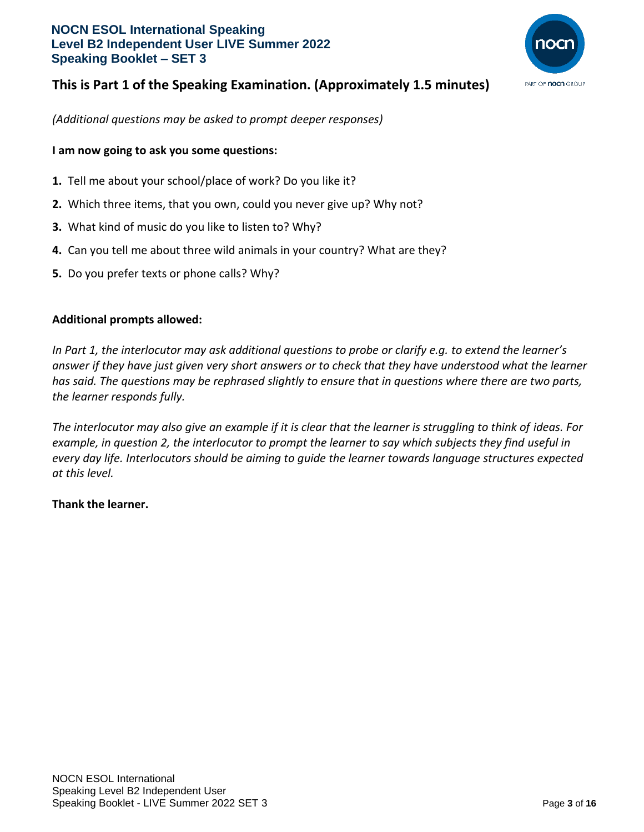

# **This is Part 1 of the Speaking Examination. (Approximately 1.5 minutes)**

*(Additional questions may be asked to prompt deeper responses)*

## **I am now going to ask you some questions:**

- **1.** Tell me about your school/place of work? Do you like it?
- **2.** Which three items, that you own, could you never give up? Why not?
- **3.** What kind of music do you like to listen to? Why?
- **4.** Can you tell me about three wild animals in your country? What are they?
- **5.** Do you prefer texts or phone calls? Why?

#### **Additional prompts allowed:**

*In Part 1, the interlocutor may ask additional questions to probe or clarify e.g. to extend the learner's answer if they have just given very short answers or to check that they have understood what the learner has said. The questions may be rephrased slightly to ensure that in questions where there are two parts, the learner responds fully.* 

*The interlocutor may also give an example if it is clear that the learner is struggling to think of ideas. For example, in question 2, the interlocutor to prompt the learner to say which subjects they find useful in every day life. Interlocutors should be aiming to guide the learner towards language structures expected at this level.* 

#### **Thank the learner.**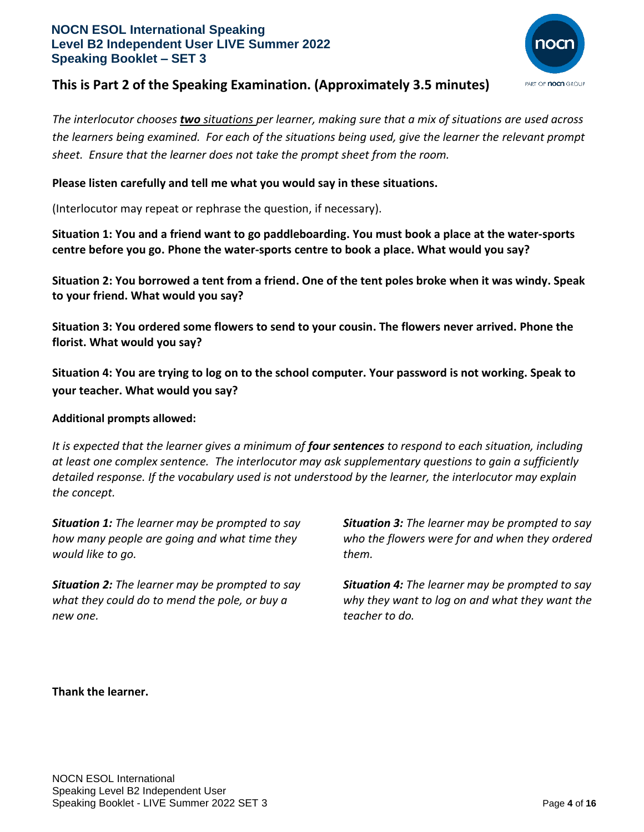

# **This is Part 2 of the Speaking Examination. (Approximately 3.5 minutes)**

*The interlocutor chooses two situations per learner, making sure that a mix of situations are used across the learners being examined. For each of the situations being used, give the learner the relevant prompt sheet. Ensure that the learner does not take the prompt sheet from the room.*

### **Please listen carefully and tell me what you would say in these situations.**

(Interlocutor may repeat or rephrase the question, if necessary).

**Situation 1: You and a friend want to go paddleboarding. You must book a place at the water-sports centre before you go. Phone the water-sports centre to book a place. What would you say?**

**Situation 2: You borrowed a tent from a friend. One of the tent poles broke when it was windy. Speak to your friend. What would you say?**

**Situation 3: You ordered some flowers to send to your cousin. The flowers never arrived. Phone the florist. What would you say?**

**Situation 4: You are trying to log on to the school computer. Your password is not working. Speak to your teacher. What would you say?**

#### **Additional prompts allowed:**

*It is expected that the learner gives a minimum of four sentences to respond to each situation, including at least one complex sentence. The interlocutor may ask supplementary questions to gain a sufficiently detailed response. If the vocabulary used is not understood by the learner, the interlocutor may explain the concept.*

*Situation 1: The learner may be prompted to say how many people are going and what time they would like to go.*

*Situation 2: The learner may be prompted to say what they could do to mend the pole, or buy a new one.*

*Situation 3: The learner may be prompted to say who the flowers were for and when they ordered them.*

*Situation 4: The learner may be prompted to say why they want to log on and what they want the teacher to do.*

**Thank the learner.**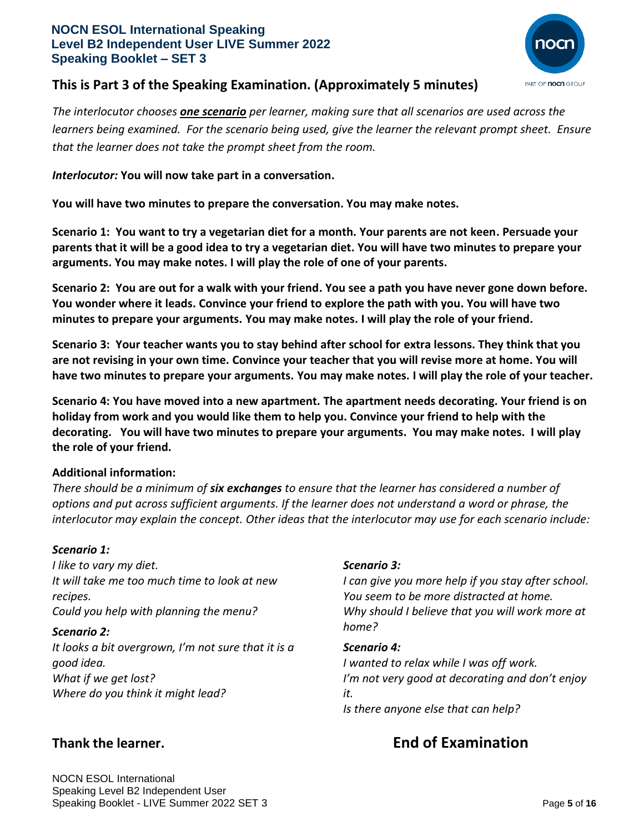

# **This is Part 3 of the Speaking Examination. (Approximately 5 minutes)**

*The interlocutor chooses one scenario per learner, making sure that all scenarios are used across the learners being examined. For the scenario being used, give the learner the relevant prompt sheet. Ensure that the learner does not take the prompt sheet from the room.*

### *Interlocutor:* **You will now take part in a conversation.**

**You will have two minutes to prepare the conversation. You may make notes.**

**Scenario 1: You want to try a vegetarian diet for a month. Your parents are not keen. Persuade your parents that it will be a good idea to try a vegetarian diet. You will have two minutes to prepare your arguments. You may make notes. I will play the role of one of your parents.**

**Scenario 2: You are out for a walk with your friend. You see a path you have never gone down before. You wonder where it leads. Convince your friend to explore the path with you. You will have two minutes to prepare your arguments. You may make notes. I will play the role of your friend.**

**Scenario 3: Your teacher wants you to stay behind after school for extra lessons. They think that you are not revising in your own time. Convince your teacher that you will revise more at home. You will have two minutes to prepare your arguments. You may make notes. I will play the role of your teacher.**

**Scenario 4: You have moved into a new apartment. The apartment needs decorating. Your friend is on holiday from work and you would like them to help you. Convince your friend to help with the decorating. You will have two minutes to prepare your arguments. You may make notes. I will play the role of your friend.**

## **Additional information:**

*There should be a minimum of six exchanges to ensure that the learner has considered a number of options and put across sufficient arguments. If the learner does not understand a word or phrase, the interlocutor may explain the concept. Other ideas that the interlocutor may use for each scenario include:* 

## *Scenario 1:*

*I like to vary my diet. It will take me too much time to look at new recipes. Could you help with planning the menu?*

#### *Scenario 2:*

*It looks a bit overgrown, I'm not sure that it is a good idea. What if we get lost? Where do you think it might lead?*

#### NOCN ESOL International Speaking Level B2 Independent User Speaking Booklet - LIVE Summer 2022 SET 3 **Page 1 and 2021** Separation of *Speaking Booklet - LIVE Summer 2022 SET 3*

## *Scenario 3:*

*I can give you more help if you stay after school. You seem to be more distracted at home. Why should I believe that you will work more at home?*

#### *Scenario 4:*

*I wanted to relax while I was off work. I'm not very good at decorating and don't enjoy it.*

*Is there anyone else that can help?*

# **Thank the learner. End of Examination**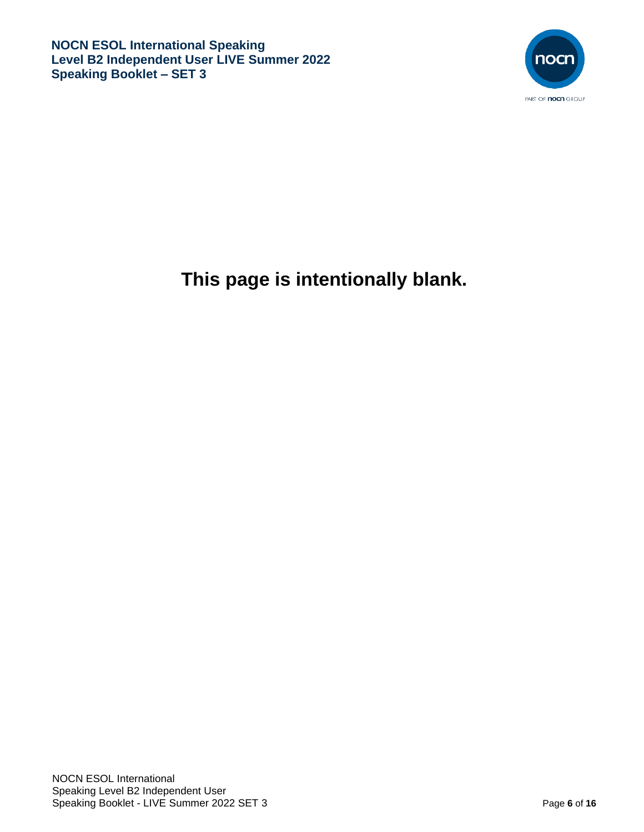

**This page is intentionally blank.**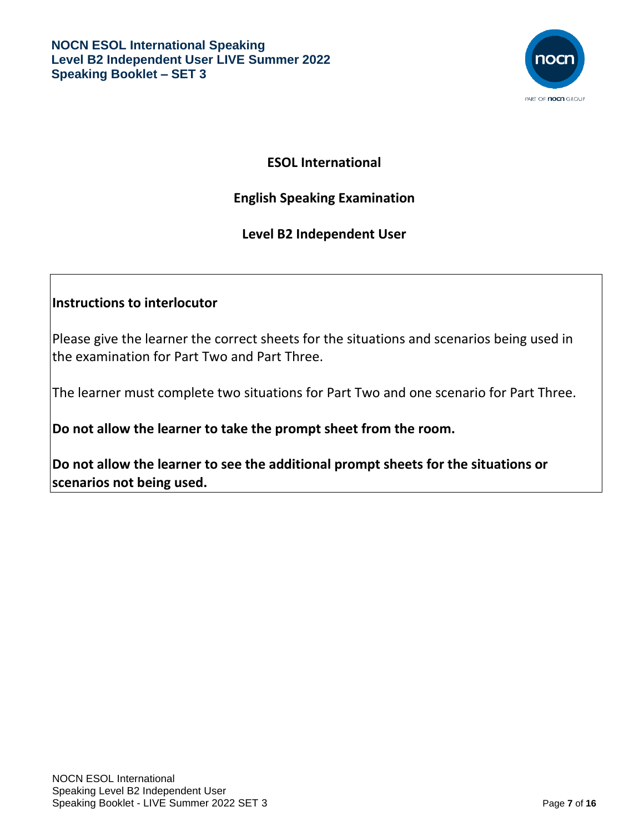

# **ESOL International**

# **English Speaking Examination**

# **Level B2 Independent User**

# **Instructions to interlocutor**

Please give the learner the correct sheets for the situations and scenarios being used in the examination for Part Two and Part Three.

The learner must complete two situations for Part Two and one scenario for Part Three.

**Do not allow the learner to take the prompt sheet from the room.**

**Do not allow the learner to see the additional prompt sheets for the situations or scenarios not being used.**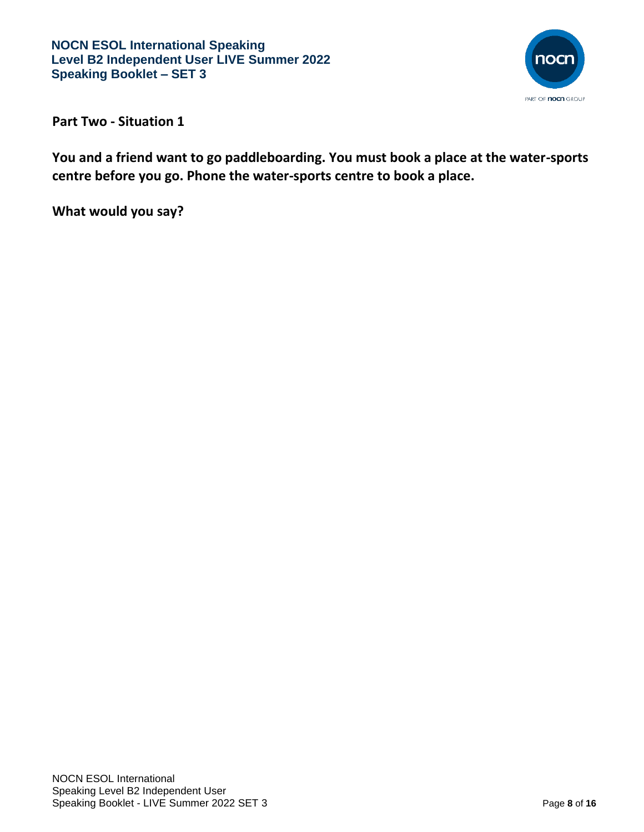

**Part Two - Situation 1**

**You and a friend want to go paddleboarding. You must book a place at the water-sports centre before you go. Phone the water-sports centre to book a place.**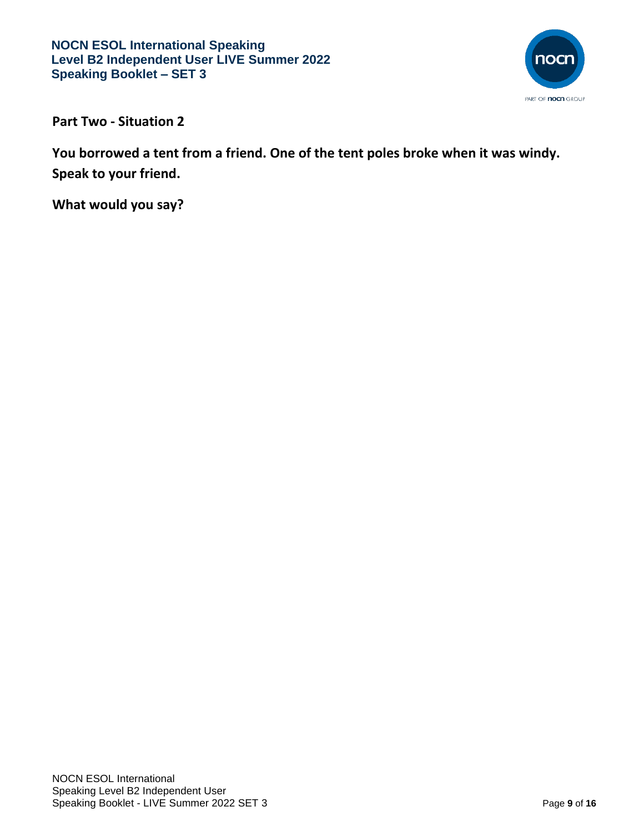

**Part Two - Situation 2**

**You borrowed a tent from a friend. One of the tent poles broke when it was windy. Speak to your friend.**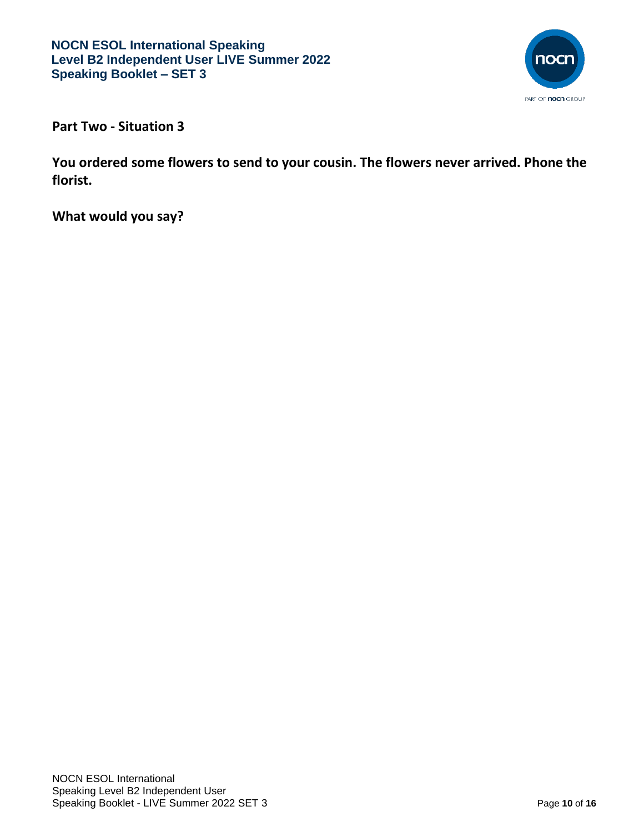

**Part Two - Situation 3**

**You ordered some flowers to send to your cousin. The flowers never arrived. Phone the florist.**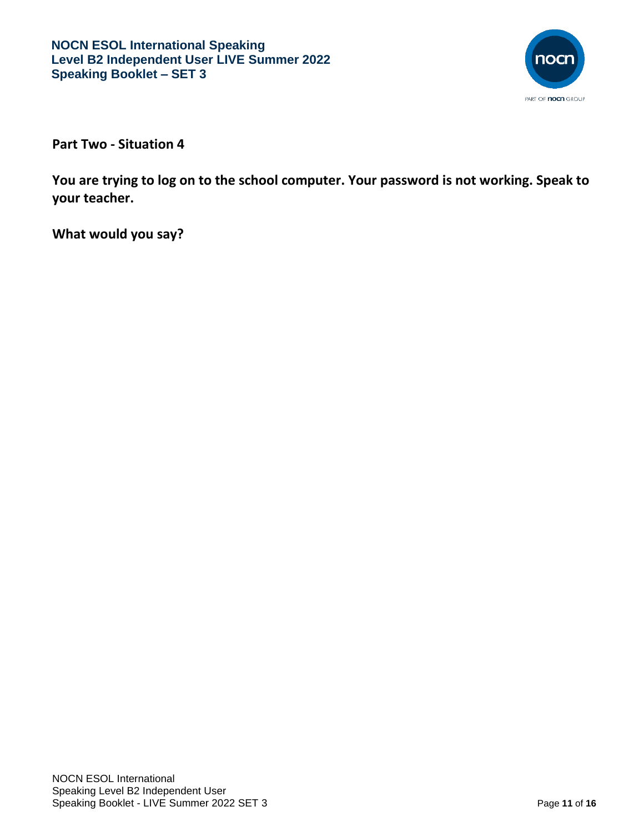

**Part Two - Situation 4**

**You are trying to log on to the school computer. Your password is not working. Speak to your teacher.**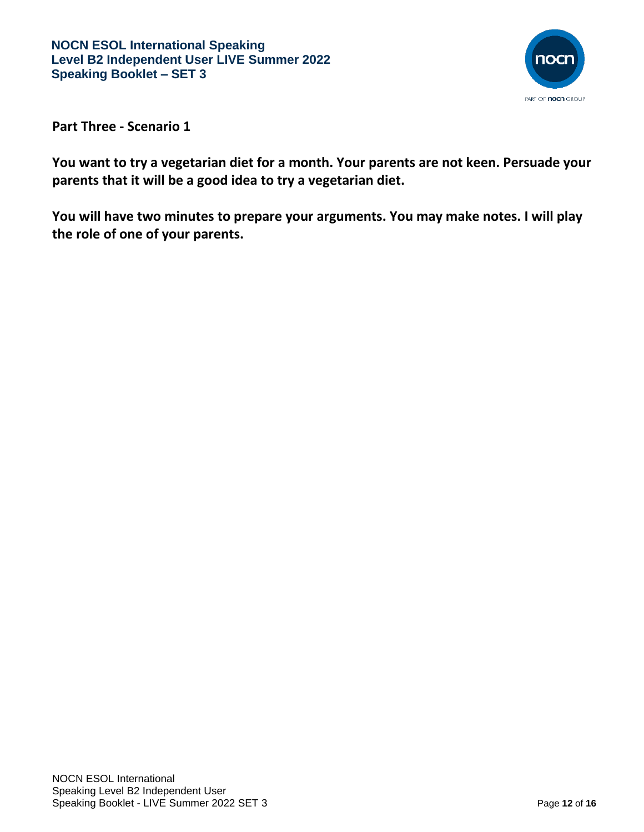

**Part Three - Scenario 1**

**You want to try a vegetarian diet for a month. Your parents are not keen. Persuade your parents that it will be a good idea to try a vegetarian diet.** 

**You will have two minutes to prepare your arguments. You may make notes. I will play the role of one of your parents.**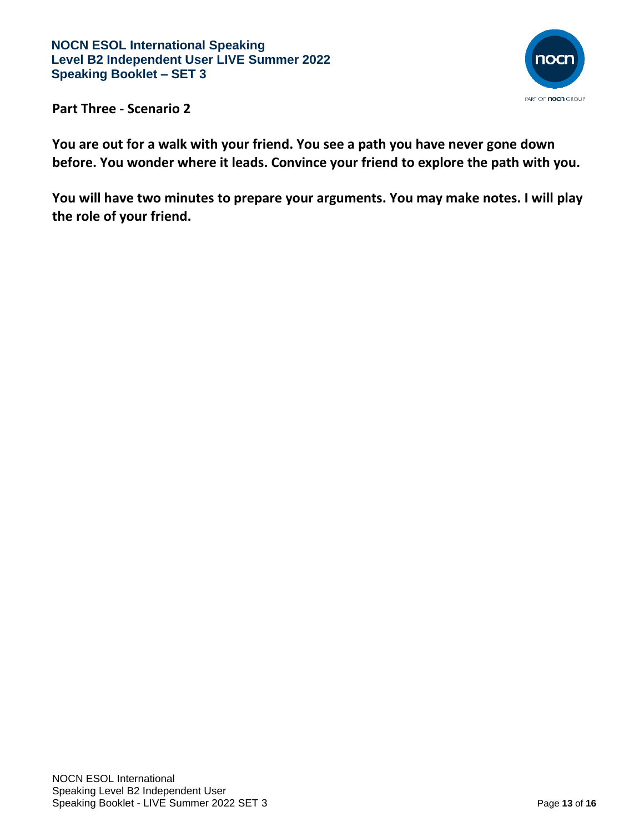

**Part Three - Scenario 2**

**You are out for a walk with your friend. You see a path you have never gone down before. You wonder where it leads. Convince your friend to explore the path with you.** 

**You will have two minutes to prepare your arguments. You may make notes. I will play the role of your friend.**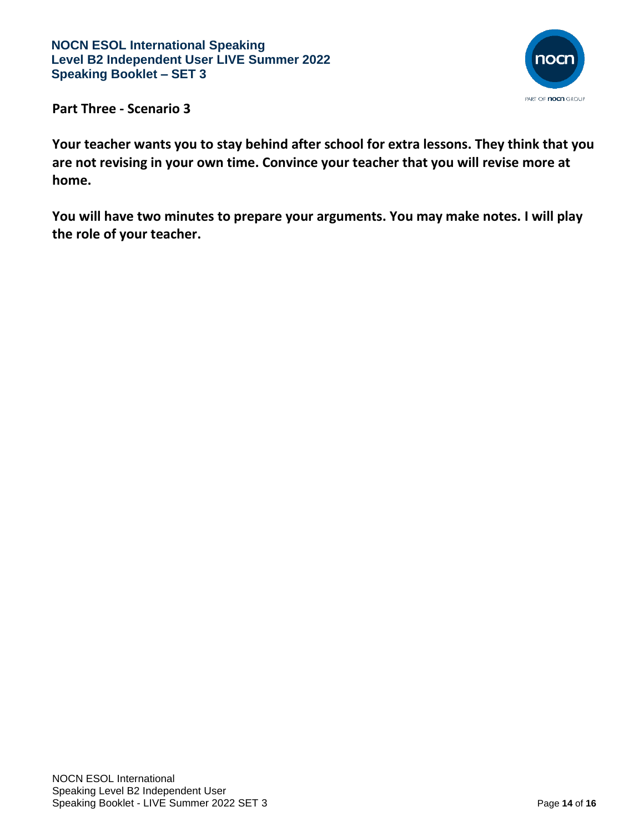

**Part Three - Scenario 3**

**Your teacher wants you to stay behind after school for extra lessons. They think that you are not revising in your own time. Convince your teacher that you will revise more at home.** 

**You will have two minutes to prepare your arguments. You may make notes. I will play the role of your teacher.**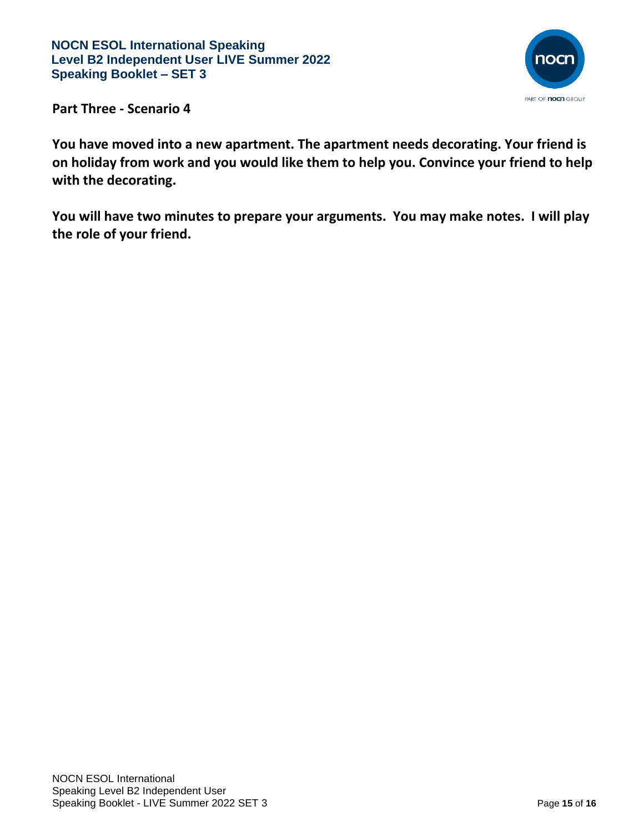

**Part Three - Scenario 4**

**You have moved into a new apartment. The apartment needs decorating. Your friend is on holiday from work and you would like them to help you. Convince your friend to help with the decorating.** 

**You will have two minutes to prepare your arguments. You may make notes. I will play the role of your friend.**